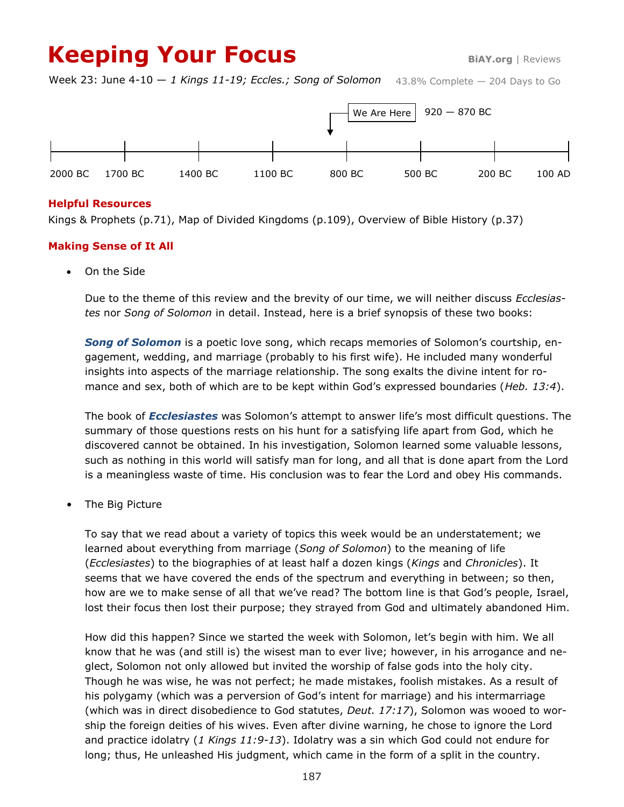# **Keeping Your Focus BiAY.org** | Reviews

43.8% Complete — 204 Days to Go Week 23: June 4-10 — *1 Kings 11-19; Eccles.; Song of Solomon*



# **Helpful Resources**

Kings & Prophets (p.71), Map of Divided Kingdoms (p.109), Overview of Bible History (p.37)

# **Making Sense of It All**

On the Side

Due to the theme of this review and the brevity of our time, we will neither discuss *Ecclesiastes* nor *Song of Solomon* in detail. Instead, here is a brief synopsis of these two books:

*Song of Solomon* is a poetic love song, which recaps memories of Solomon's courtship, engagement, wedding, and marriage (probably to his first wife). He included many wonderful insights into aspects of the marriage relationship. The song exalts the divine intent for romance and sex, both of which are to be kept within God's expressed boundaries (*Heb. 13:4*).

The book of *Ecclesiastes* was Solomon's attempt to answer life's most difficult questions. The summary of those questions rests on his hunt for a satisfying life apart from God, which he discovered cannot be obtained. In his investigation, Solomon learned some valuable lessons, such as nothing in this world will satisfy man for long, and all that is done apart from the Lord is a meaningless waste of time. His conclusion was to fear the Lord and obey His commands.

The Big Picture

To say that we read about a variety of topics this week would be an understatement; we learned about everything from marriage (*Song of Solomon*) to the meaning of life (*Ecclesiastes*) to the biographies of at least half a dozen kings (*Kings* and *Chronicles*). It seems that we have covered the ends of the spectrum and everything in between; so then, how are we to make sense of all that we've read? The bottom line is that God's people, Israel, lost their focus then lost their purpose; they strayed from God and ultimately abandoned Him.

How did this happen? Since we started the week with Solomon, let's begin with him. We all know that he was (and still is) the wisest man to ever live; however, in his arrogance and neglect, Solomon not only allowed but invited the worship of false gods into the holy city. Though he was wise, he was not perfect; he made mistakes, foolish mistakes. As a result of his polygamy (which was a perversion of God's intent for marriage) and his intermarriage (which was in direct disobedience to God statutes, *Deut. 17:17*), Solomon was wooed to worship the foreign deities of his wives. Even after divine warning, he chose to ignore the Lord and practice idolatry (*1 Kings 11:9-13*). Idolatry was a sin which God could not endure for long; thus, He unleashed His judgment, which came in the form of a split in the country.